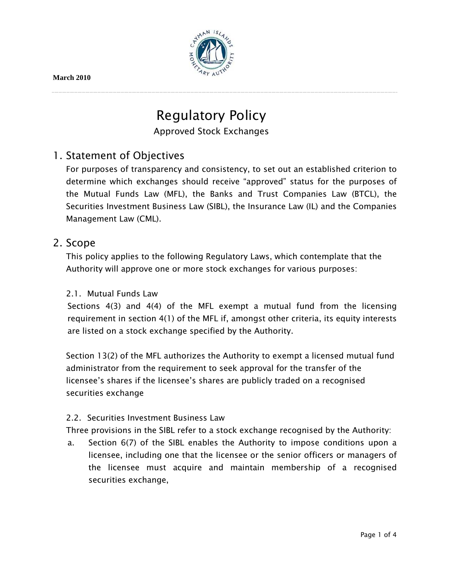

# *Regulatory Policy*

*Approved Stock Exchanges*

# *1. Statement of Objectives*

*For purposes of transparency and consistency, to set out an established criterion to determine which exchanges should receive "approved" status for the purposes of the Mutual Funds Law (MFL), the Banks and Trust Companies Law (BTCL), the Securities Investment Business Law (SIBL), the Insurance Law (IL) and the Companies Management Law (CML).* 

## *2. Scope*

*This policy applies to the following Regulatory Laws, which contemplate that the Authority will approve one or more stock exchanges for various purposes:* 

## *2.1. Mutual Funds Law*

*Sections 4(3) and 4(4) of the MFL exempt a mutual fund from the licensing requirement in section 4(1) of the MFL if, amongst other criteria, its equity interests are listed on a stock exchange specified by the Authority.* 

*Section 13(2) of the MFL authorizes the Authority to exempt a licensed mutual fund administrator from the requirement to seek approval for the transfer of the licensee's shares if the licensee's shares are publicly traded on a recognised securities exchange* 

## *2.2. Securities Investment Business Law*

*Three provisions in the SIBL refer to a stock exchange recognised by the Authority:* 

*a. Section 6(7) of the SIBL enables the Authority to impose conditions upon a licensee, including one that the licensee or the senior officers or managers of the licensee must acquire and maintain membership of a recognised securities exchange,*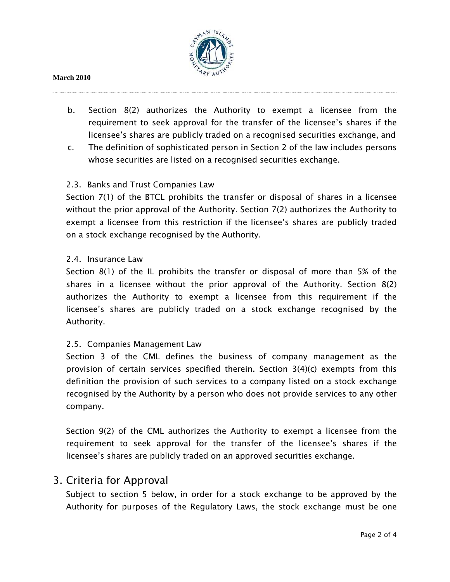

- *b. Section 8(2) authorizes the Authority to exempt a licensee from the requirement to seek approval for the transfer of the licensee's shares if the licensee's shares are publicly traded on a recognised securities exchange, and*
- *c. The definition of sophisticated person in Section 2 of the law includes persons whose securities are listed on a recognised securities exchange.*

#### *2.3. Banks and Trust Companies Law*

*Section 7(1) of the BTCL prohibits the transfer or disposal of shares in a licensee without the prior approval of the Authority. Section 7(2) authorizes the Authority to exempt a licensee from this restriction if the licensee's shares are publicly traded on a stock exchange recognised by the Authority.* 

#### *2.4. Insurance Law*

*Section 8(1) of the IL prohibits the transfer or disposal of more than 5% of the shares in a licensee without the prior approval of the Authority. Section 8(2) authorizes the Authority to exempt a licensee from this requirement if the licensee's shares are publicly traded on a stock exchange recognised by the Authority.* 

#### *2.5. Companies Management Law*

*Section 3 of the CML defines the business of company management as the provision of certain services specified therein. Section 3(4)(c) exempts from this definition the provision of such services to a company listed on a stock exchange recognised by the Authority by a person who does not provide services to any other company.* 

*Section 9(2) of the CML authorizes the Authority to exempt a licensee from the requirement to seek approval for the transfer of the licensee's shares if the licensee's shares are publicly traded on an approved securities exchange.*

## *3. Criteria for Approval*

*Subject to section 5 below, in order for a stock exchange to be approved by the Authority for purposes of the Regulatory Laws, the stock exchange must be one*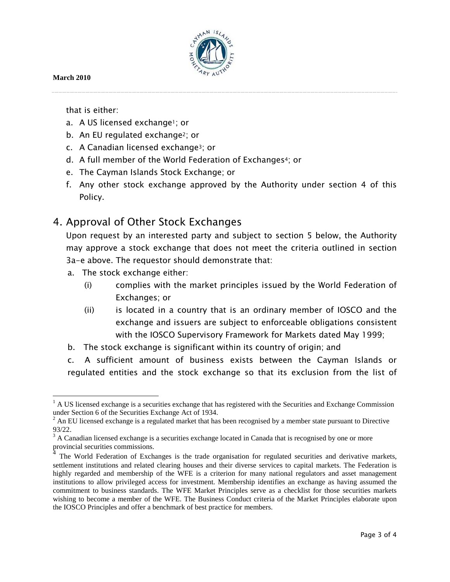

<u>.</u>

*that is either:* 

- *a. A US licensed exchange1; or*
- *b. An EU regulated exchange2; or*
- *c. A Canadian licensed exchange3; or*
- *d. A full member of the World Federation of Exchanges4; or*
- *e. The Cayman Islands Stock Exchange; or*
- *f. Any other stock exchange approved by the Authority under section 4 of this Policy.*

# *4. Approval of Other Stock Exchanges*

*Upon request by an interested party and subject to section 5 below, the Authority may approve a stock exchange that does not meet the criteria outlined in section 3a-e above. The requestor should demonstrate that:* 

- *a. The stock exchange either:* 
	- *(i) complies with the market principles issued by the World Federation of Exchanges; or*
	- *(ii) is located in a country that is an ordinary member of IOSCO and the exchange and issuers are subject to enforceable obligations consistent with the IOSCO Supervisory Framework for Markets dated May 1999;*
- *b. The stock exchange is significant within its country of origin; and*

*c. A sufficient amount of business exists between the Cayman Islands or regulated entities and the stock exchange so that its exclusion from the list of* 

 $<sup>1</sup>$  A US licensed exchange is a securities exchange that has registered with the Securities and Exchange Commission</sup> under Section 6 of the Securities Exchange Act of 1934.

 $2^2$  An EU licensed exchange is a regulated market that has been recognised by a member state pursuant to Directive 93/22.

<sup>&</sup>lt;sup>3</sup> A Canadian licensed exchange is a securities exchange located in Canada that is recognised by one or more provincial securities commissions.

The World Federation of Exchanges is the trade organisation for regulated securities and derivative markets, settlement institutions and related clearing houses and their diverse services to capital markets. The Federation is highly regarded and membership of the WFE is a criterion for many national regulators and asset management institutions to allow privileged access for investment. Membership identifies an exchange as having assumed the commitment to business standards. The WFE Market Principles serve as a checklist for those securities markets wishing to become a member of the WFE. The Business Conduct criteria of the Market Principles elaborate upon the IOSCO Principles and offer a benchmark of best practice for members.